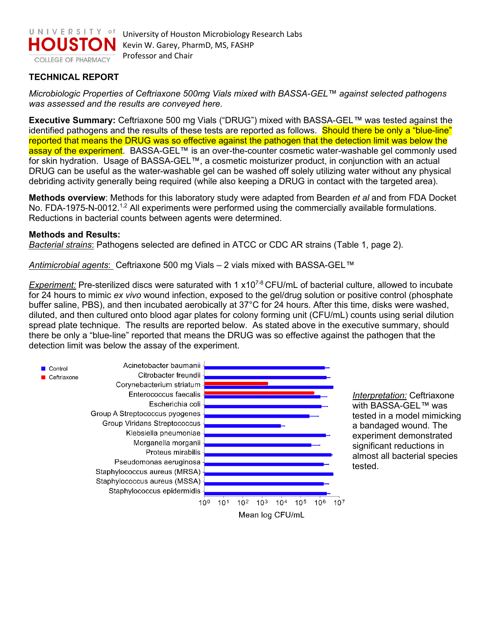

## **TECHNICAL REPORT**

*Microbiologic Properties of Ceftriaxone 500mg Vials mixed with BASSA-GEL™ against selected pathogens was assessed and the results are conveyed here.* 

**Executive Summary:** Ceftriaxone 500 mg Vials ("DRUG") mixed with BASSA-GEL*™* was tested against the identified pathogens and the results of these tests are reported as follows. Should there be only a "blue-line" reported that means the DRUG was so effective against the pathogen that the detection limit was below the assay of the experiment. BASSA-GEL™ is an over-the-counter cosmetic water-washable gel commonly used for skin hydration. Usage of BASSA-GEL™, a cosmetic moisturizer product, in conjunction with an actual DRUG can be useful as the water-washable gel can be washed off solely utilizing water without any physical debriding activity generally being required (while also keeping a DRUG in contact with the targeted area).

**Methods overview**: Methods for this laboratory study were adapted from Bearden *et al* and from FDA Docket No. FDA-1975-N-0012.<sup>1,2</sup> All experiments were performed using the commercially available formulations. Reductions in bacterial counts between agents were determined.

## **Methods and Results:**

*Bacterial strains*: Pathogens selected are defined in ATCC or CDC AR strains (Table 1, page 2).

*Antimicrobial agents*: Ceftriaxone 500 mg Vials – 2 vials mixed with BASSA-GEL*™*

*Experiment:* Pre-sterilized discs were saturated with 1 x10<sup>7-8</sup> CFU/mL of bacterial culture, allowed to incubate for 24 hours to mimic *ex vivo* wound infection, exposed to the gel/drug solution or positive control (phosphate buffer saline, PBS), and then incubated aerobically at 37°C for 24 hours. After this time, disks were washed, diluted, and then cultured onto blood agar plates for colony forming unit (CFU/mL) counts using serial dilution spread plate technique. The results are reported below. As stated above in the executive summary, should there be only a "blue-line" reported that means the DRUG was so effective against the pathogen that the detection limit was below the assay of the experiment.



*Interpretation:* Ceftriaxone with BASSA-GEL*™* was tested in a model mimicking a bandaged wound. The experiment demonstrated significant reductions in almost all bacterial species tested.